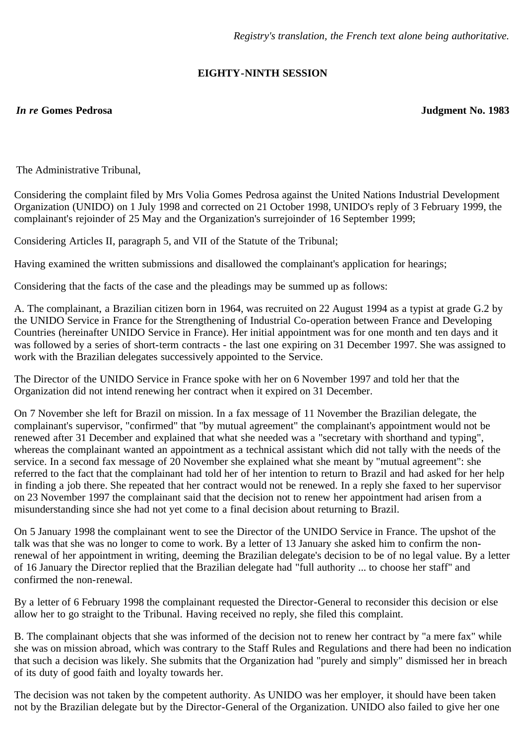## **EIGHTY-NINTH SESSION**

## *In re* **Gomes Pedrosa Judgment No. 1983**

The Administrative Tribunal,

Considering the complaint filed by Mrs Volia Gomes Pedrosa against the United Nations Industrial Development Organization (UNIDO) on 1 July 1998 and corrected on 21 October 1998, UNIDO's reply of 3 February 1999, the complainant's rejoinder of 25 May and the Organization's surrejoinder of 16 September 1999;

Considering Articles II, paragraph 5, and VII of the Statute of the Tribunal;

Having examined the written submissions and disallowed the complainant's application for hearings;

Considering that the facts of the case and the pleadings may be summed up as follows:

A. The complainant, a Brazilian citizen born in 1964, was recruited on 22 August 1994 as a typist at grade G.2 by the UNIDO Service in France for the Strengthening of Industrial Co-operation between France and Developing Countries (hereinafter UNIDO Service in France). Her initial appointment was for one month and ten days and it was followed by a series of short-term contracts - the last one expiring on 31 December 1997. She was assigned to work with the Brazilian delegates successively appointed to the Service.

The Director of the UNIDO Service in France spoke with her on 6 November 1997 and told her that the Organization did not intend renewing her contract when it expired on 31 December.

On 7 November she left for Brazil on mission. In a fax message of 11 November the Brazilian delegate, the complainant's supervisor, "confirmed" that "by mutual agreement" the complainant's appointment would not be renewed after 31 December and explained that what she needed was a "secretary with shorthand and typing", whereas the complainant wanted an appointment as a technical assistant which did not tally with the needs of the service. In a second fax message of 20 November she explained what she meant by "mutual agreement": she referred to the fact that the complainant had told her of her intention to return to Brazil and had asked for her help in finding a job there. She repeated that her contract would not be renewed. In a reply she faxed to her supervisor on 23 November 1997 the complainant said that the decision not to renew her appointment had arisen from a misunderstanding since she had not yet come to a final decision about returning to Brazil.

On 5 January 1998 the complainant went to see the Director of the UNIDO Service in France. The upshot of the talk was that she was no longer to come to work. By a letter of 13 January she asked him to confirm the nonrenewal of her appointment in writing, deeming the Brazilian delegate's decision to be of no legal value. By a letter of 16 January the Director replied that the Brazilian delegate had "full authority ... to choose her staff" and confirmed the non-renewal.

By a letter of 6 February 1998 the complainant requested the Director-General to reconsider this decision or else allow her to go straight to the Tribunal. Having received no reply, she filed this complaint.

B. The complainant objects that she was informed of the decision not to renew her contract by "a mere fax" while she was on mission abroad, which was contrary to the Staff Rules and Regulations and there had been no indication that such a decision was likely. She submits that the Organization had "purely and simply" dismissed her in breach of its duty of good faith and loyalty towards her.

The decision was not taken by the competent authority. As UNIDO was her employer, it should have been taken not by the Brazilian delegate but by the Director-General of the Organization. UNIDO also failed to give her one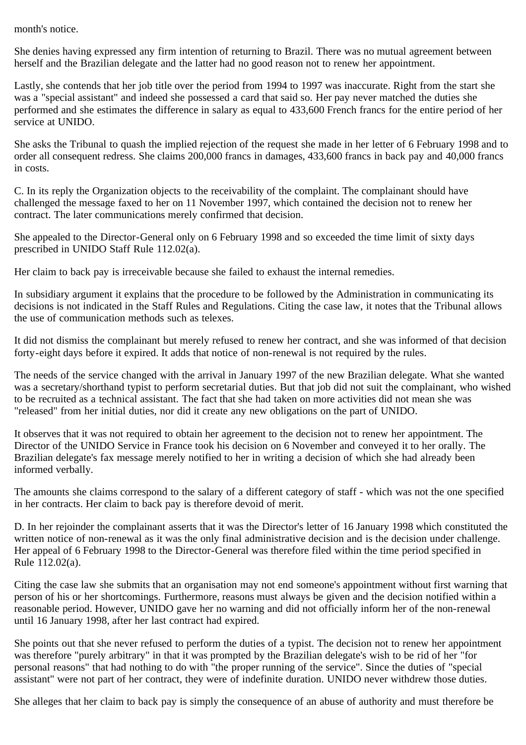month's notice.

She denies having expressed any firm intention of returning to Brazil. There was no mutual agreement between herself and the Brazilian delegate and the latter had no good reason not to renew her appointment.

Lastly, she contends that her job title over the period from 1994 to 1997 was inaccurate. Right from the start she was a "special assistant" and indeed she possessed a card that said so. Her pay never matched the duties she performed and she estimates the difference in salary as equal to 433,600 French francs for the entire period of her service at UNIDO.

She asks the Tribunal to quash the implied rejection of the request she made in her letter of 6 February 1998 and to order all consequent redress. She claims 200,000 francs in damages, 433,600 francs in back pay and 40,000 francs in costs.

C. In its reply the Organization objects to the receivability of the complaint. The complainant should have challenged the message faxed to her on 11 November 1997, which contained the decision not to renew her contract. The later communications merely confirmed that decision.

She appealed to the Director-General only on 6 February 1998 and so exceeded the time limit of sixty days prescribed in UNIDO Staff Rule 112.02(a).

Her claim to back pay is irreceivable because she failed to exhaust the internal remedies.

In subsidiary argument it explains that the procedure to be followed by the Administration in communicating its decisions is not indicated in the Staff Rules and Regulations. Citing the case law, it notes that the Tribunal allows the use of communication methods such as telexes.

It did not dismiss the complainant but merely refused to renew her contract, and she was informed of that decision forty-eight days before it expired. It adds that notice of non-renewal is not required by the rules.

The needs of the service changed with the arrival in January 1997 of the new Brazilian delegate. What she wanted was a secretary/shorthand typist to perform secretarial duties. But that job did not suit the complainant, who wished to be recruited as a technical assistant. The fact that she had taken on more activities did not mean she was "released" from her initial duties, nor did it create any new obligations on the part of UNIDO.

It observes that it was not required to obtain her agreement to the decision not to renew her appointment. The Director of the UNIDO Service in France took his decision on 6 November and conveyed it to her orally. The Brazilian delegate's fax message merely notified to her in writing a decision of which she had already been informed verbally.

The amounts she claims correspond to the salary of a different category of staff - which was not the one specified in her contracts. Her claim to back pay is therefore devoid of merit.

D. In her rejoinder the complainant asserts that it was the Director's letter of 16 January 1998 which constituted the written notice of non-renewal as it was the only final administrative decision and is the decision under challenge. Her appeal of 6 February 1998 to the Director-General was therefore filed within the time period specified in Rule 112.02(a).

Citing the case law she submits that an organisation may not end someone's appointment without first warning that person of his or her shortcomings. Furthermore, reasons must always be given and the decision notified within a reasonable period. However, UNIDO gave her no warning and did not officially inform her of the non-renewal until 16 January 1998, after her last contract had expired.

She points out that she never refused to perform the duties of a typist. The decision not to renew her appointment was therefore "purely arbitrary" in that it was prompted by the Brazilian delegate's wish to be rid of her "for personal reasons" that had nothing to do with "the proper running of the service". Since the duties of "special assistant" were not part of her contract, they were of indefinite duration. UNIDO never withdrew those duties.

She alleges that her claim to back pay is simply the consequence of an abuse of authority and must therefore be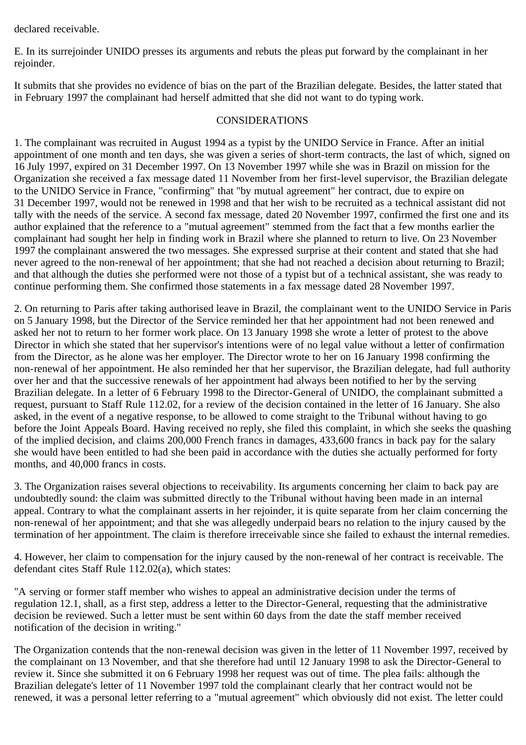declared receivable.

E. In its surrejoinder UNIDO presses its arguments and rebuts the pleas put forward by the complainant in her rejoinder.

It submits that she provides no evidence of bias on the part of the Brazilian delegate. Besides, the latter stated that in February 1997 the complainant had herself admitted that she did not want to do typing work.

## CONSIDERATIONS

1. The complainant was recruited in August 1994 as a typist by the UNIDO Service in France. After an initial appointment of one month and ten days, she was given a series of short-term contracts, the last of which, signed on 16 July 1997, expired on 31 December 1997. On 13 November 1997 while she was in Brazil on mission for the Organization she received a fax message dated 11 November from her first-level supervisor, the Brazilian delegate to the UNIDO Service in France, "confirming" that "by mutual agreement" her contract, due to expire on 31 December 1997, would not be renewed in 1998 and that her wish to be recruited as a technical assistant did not tally with the needs of the service. A second fax message, dated 20 November 1997, confirmed the first one and its author explained that the reference to a "mutual agreement" stemmed from the fact that a few months earlier the complainant had sought her help in finding work in Brazil where she planned to return to live. On 23 November 1997 the complainant answered the two messages. She expressed surprise at their content and stated that she had never agreed to the non-renewal of her appointment; that she had not reached a decision about returning to Brazil; and that although the duties she performed were not those of a typist but of a technical assistant, she was ready to continue performing them. She confirmed those statements in a fax message dated 28 November 1997.

2. On returning to Paris after taking authorised leave in Brazil, the complainant went to the UNIDO Service in Paris on 5 January 1998, but the Director of the Service reminded her that her appointment had not been renewed and asked her not to return to her former work place. On 13 January 1998 she wrote a letter of protest to the above Director in which she stated that her supervisor's intentions were of no legal value without a letter of confirmation from the Director, as he alone was her employer. The Director wrote to her on 16 January 1998 confirming the non-renewal of her appointment. He also reminded her that her supervisor, the Brazilian delegate, had full authority over her and that the successive renewals of her appointment had always been notified to her by the serving Brazilian delegate. In a letter of 6 February 1998 to the Director-General of UNIDO, the complainant submitted a request, pursuant to Staff Rule 112.02, for a review of the decision contained in the letter of 16 January. She also asked, in the event of a negative response, to be allowed to come straight to the Tribunal without having to go before the Joint Appeals Board. Having received no reply, she filed this complaint, in which she seeks the quashing of the implied decision, and claims 200,000 French francs in damages, 433,600 francs in back pay for the salary she would have been entitled to had she been paid in accordance with the duties she actually performed for forty months, and 40,000 francs in costs.

3. The Organization raises several objections to receivability. Its arguments concerning her claim to back pay are undoubtedly sound: the claim was submitted directly to the Tribunal without having been made in an internal appeal. Contrary to what the complainant asserts in her rejoinder, it is quite separate from her claim concerning the non-renewal of her appointment; and that she was allegedly underpaid bears no relation to the injury caused by the termination of her appointment. The claim is therefore irreceivable since she failed to exhaust the internal remedies.

4. However, her claim to compensation for the injury caused by the non-renewal of her contract is receivable. The defendant cites Staff Rule 112.02(a), which states:

"A serving or former staff member who wishes to appeal an administrative decision under the terms of regulation 12.1, shall, as a first step, address a letter to the Director-General, requesting that the administrative decision be reviewed. Such a letter must be sent within 60 days from the date the staff member received notification of the decision in writing."

The Organization contends that the non-renewal decision was given in the letter of 11 November 1997, received by the complainant on 13 November, and that she therefore had until 12 January 1998 to ask the Director-General to review it. Since she submitted it on 6 February 1998 her request was out of time. The plea fails: although the Brazilian delegate's letter of 11 November 1997 told the complainant clearly that her contract would not be renewed, it was a personal letter referring to a "mutual agreement" which obviously did not exist. The letter could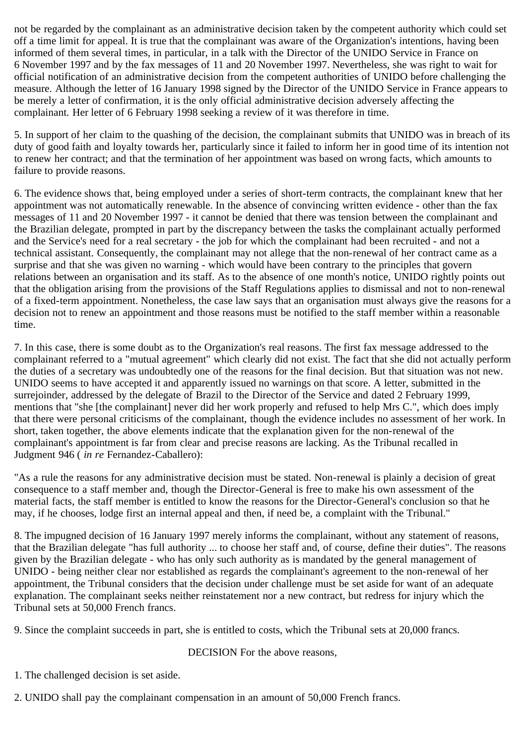not be regarded by the complainant as an administrative decision taken by the competent authority which could set off a time limit for appeal. It is true that the complainant was aware of the Organization's intentions, having been informed of them several times, in particular, in a talk with the Director of the UNIDO Service in France on 6 November 1997 and by the fax messages of 11 and 20 November 1997. Nevertheless, she was right to wait for official notification of an administrative decision from the competent authorities of UNIDO before challenging the measure. Although the letter of 16 January 1998 signed by the Director of the UNIDO Service in France appears to be merely a letter of confirmation, it is the only official administrative decision adversely affecting the complainant. Her letter of 6 February 1998 seeking a review of it was therefore in time.

5. In support of her claim to the quashing of the decision, the complainant submits that UNIDO was in breach of its duty of good faith and loyalty towards her, particularly since it failed to inform her in good time of its intention not to renew her contract; and that the termination of her appointment was based on wrong facts, which amounts to failure to provide reasons.

6. The evidence shows that, being employed under a series of short-term contracts, the complainant knew that her appointment was not automatically renewable. In the absence of convincing written evidence - other than the fax messages of 11 and 20 November 1997 - it cannot be denied that there was tension between the complainant and the Brazilian delegate, prompted in part by the discrepancy between the tasks the complainant actually performed and the Service's need for a real secretary - the job for which the complainant had been recruited - and not a technical assistant. Consequently, the complainant may not allege that the non-renewal of her contract came as a surprise and that she was given no warning - which would have been contrary to the principles that govern relations between an organisation and its staff. As to the absence of one month's notice, UNIDO rightly points out that the obligation arising from the provisions of the Staff Regulations applies to dismissal and not to non-renewal of a fixed-term appointment. Nonetheless, the case law says that an organisation must always give the reasons for a decision not to renew an appointment and those reasons must be notified to the staff member within a reasonable time.

7. In this case, there is some doubt as to the Organization's real reasons. The first fax message addressed to the complainant referred to a "mutual agreement" which clearly did not exist. The fact that she did not actually perform the duties of a secretary was undoubtedly one of the reasons for the final decision. But that situation was not new. UNIDO seems to have accepted it and apparently issued no warnings on that score. A letter, submitted in the surrejoinder, addressed by the delegate of Brazil to the Director of the Service and dated 2 February 1999, mentions that "she [the complainant] never did her work properly and refused to help Mrs C.", which does imply that there were personal criticisms of the complainant, though the evidence includes no assessment of her work. In short, taken together, the above elements indicate that the explanation given for the non-renewal of the complainant's appointment is far from clear and precise reasons are lacking. As the Tribunal recalled in Judgment 946 ( *in re* Fernandez-Caballero):

"As a rule the reasons for any administrative decision must be stated. Non-renewal is plainly a decision of great consequence to a staff member and, though the Director-General is free to make his own assessment of the material facts, the staff member is entitled to know the reasons for the Director-General's conclusion so that he may, if he chooses, lodge first an internal appeal and then, if need be, a complaint with the Tribunal."

8. The impugned decision of 16 January 1997 merely informs the complainant, without any statement of reasons, that the Brazilian delegate "has full authority ... to choose her staff and, of course, define their duties". The reasons given by the Brazilian delegate - who has only such authority as is mandated by the general management of UNIDO - being neither clear nor established as regards the complainant's agreement to the non-renewal of her appointment, the Tribunal considers that the decision under challenge must be set aside for want of an adequate explanation. The complainant seeks neither reinstatement nor a new contract, but redress for injury which the Tribunal sets at 50,000 French francs.

9. Since the complaint succeeds in part, she is entitled to costs, which the Tribunal sets at 20,000 francs.

## DECISION For the above reasons,

1. The challenged decision is set aside.

2. UNIDO shall pay the complainant compensation in an amount of 50,000 French francs.